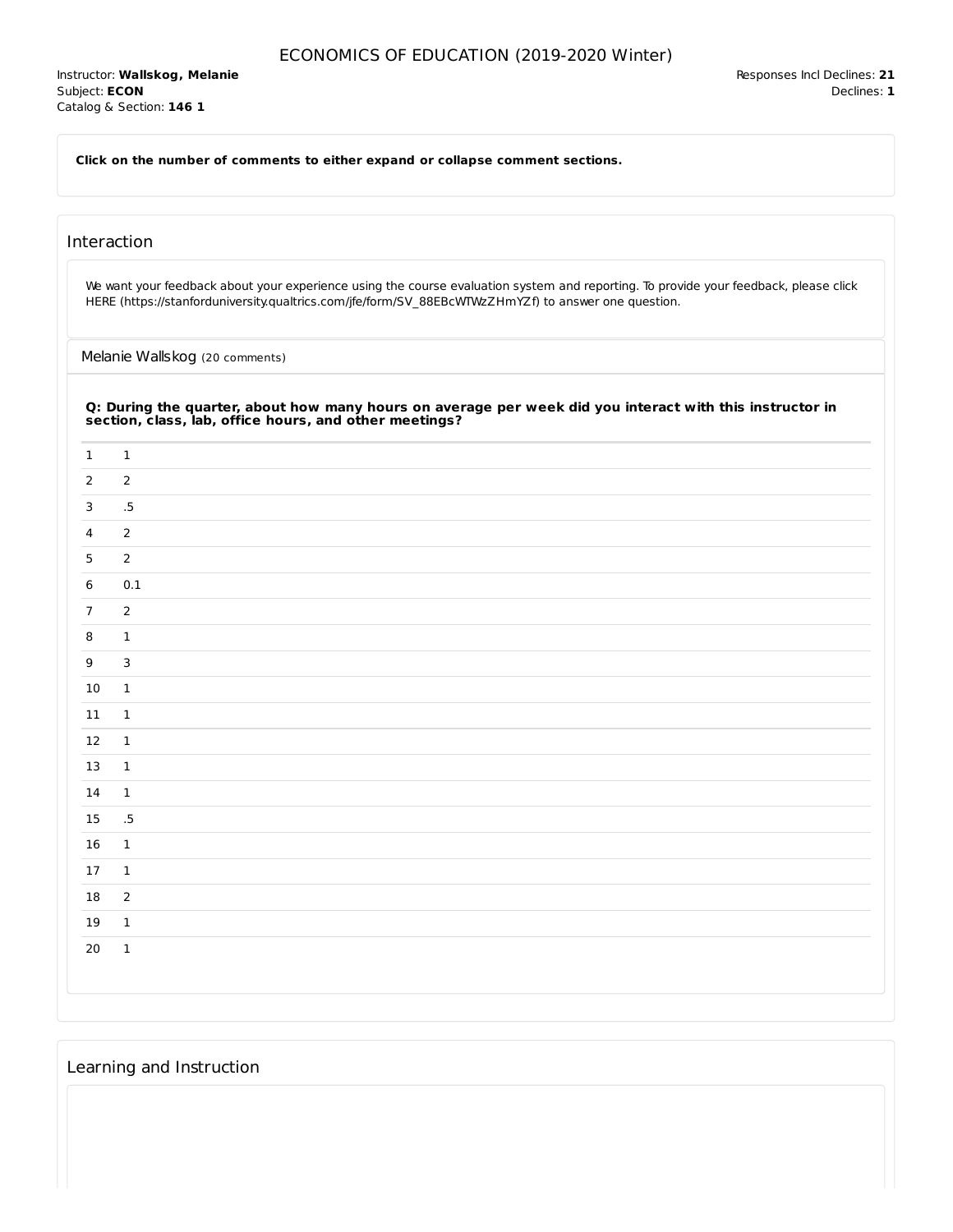**Click on the number of comments to either expand or collapse comment sections.**

## Interaction

We want your feedback about your experience using the course evaluation system and reporting. To provide your feedback, please click HERE (https://stanforduniversity.qualtrics.com/jfe/form/SV\_88EBcWTWzZHmYZf) to answer one question.

Melanie Wallskog (20 comments)

| $\mathbf{1}$   | $\mathbf{1}$    |
|----------------|-----------------|
| $\overline{2}$ | $\overline{2}$  |
| 3              | $.5\,$          |
| $\overline{4}$ | $\overline{2}$  |
| 5              | $\overline{2}$  |
| 6              | 0.1             |
| $\overline{7}$ | $\overline{2}$  |
| 8              | $\mathbf{1}$    |
| 9              | $\overline{3}$  |
| 10             | $\mathbf 1$     |
| 11             | $\mathbf{1}$    |
| 12             | $\mathbf{1}$    |
| 13             | $\mathbf{1}$    |
| 14             | $\mathbf 1$     |
| 15             | $.5\phantom{0}$ |
| 16             | $\mathbf{1}$    |
| 17             | $\mathbf{1}$    |
| 18             | $\overline{2}$  |
| 19             | $\mathbf 1$     |
| 20             | $\mathbf 1$     |

# Learning and Instruction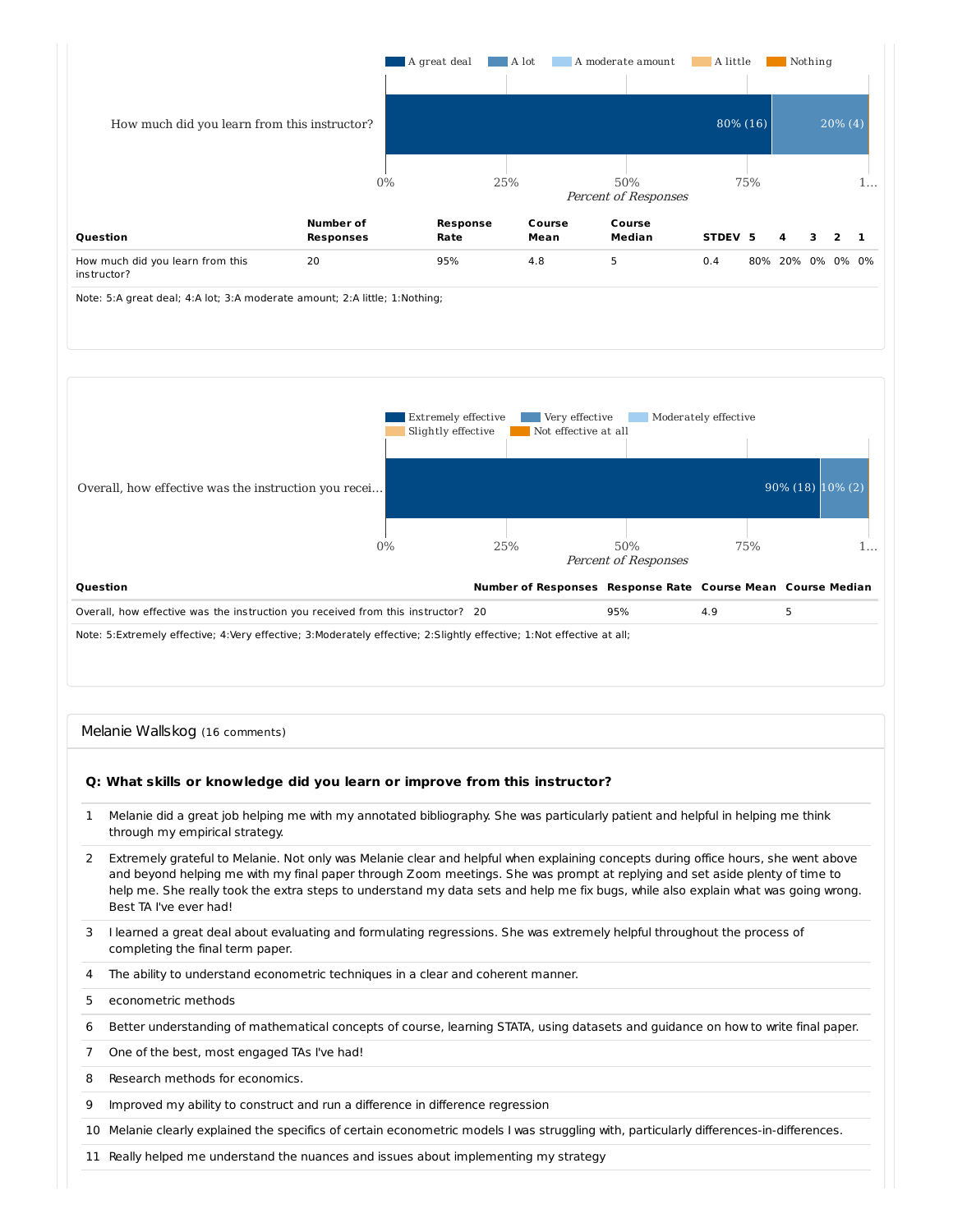

Note: 5:A great deal; 4:A lot; 3:A moderate amount; 2:A little; 1:Nothing;



#### Melanie Wallskog (16 comments)

## **Q: What skills or knowledge did you learn or improve from this instructor?**

- 1 Melanie did a great job helping me with my annotated bibliography. She was particularly patient and helpful in helping me think through my empirical strategy.
- 2 Extremely grateful to Melanie. Not only was Melanie clear and helpful when explaining concepts during office hours, she went above and beyond helping me with my final paper through Zoom meetings. She was prompt at replying and set aside plenty of time to help me. She really took the extra steps to understand my data sets and help me fix bugs, while also explain what was going wrong. Best TA I've ever had!
- 3 I learned a great deal about evaluating and formulating regressions. She was extremely helpful throughout the process of completing the final term paper.
- 4 The ability to understand econometric techniques in a clear and coherent manner.
- 5 econometric methods
- 6 Better understanding of mathematical concepts of course, learning STATA, using datasets and guidance on how to write final paper.
- 7 One of the best, most engaged TAs I've had!
- 8 Research methods for economics.
- 9 Improved my ability to construct and run a difference in difference regression
- 10 Melanie clearly explained the specifics of certain econometric models I was struggling with, particularly differences-in-differences.
- 11 Really helped me understand the nuances and issues about implementing my strategy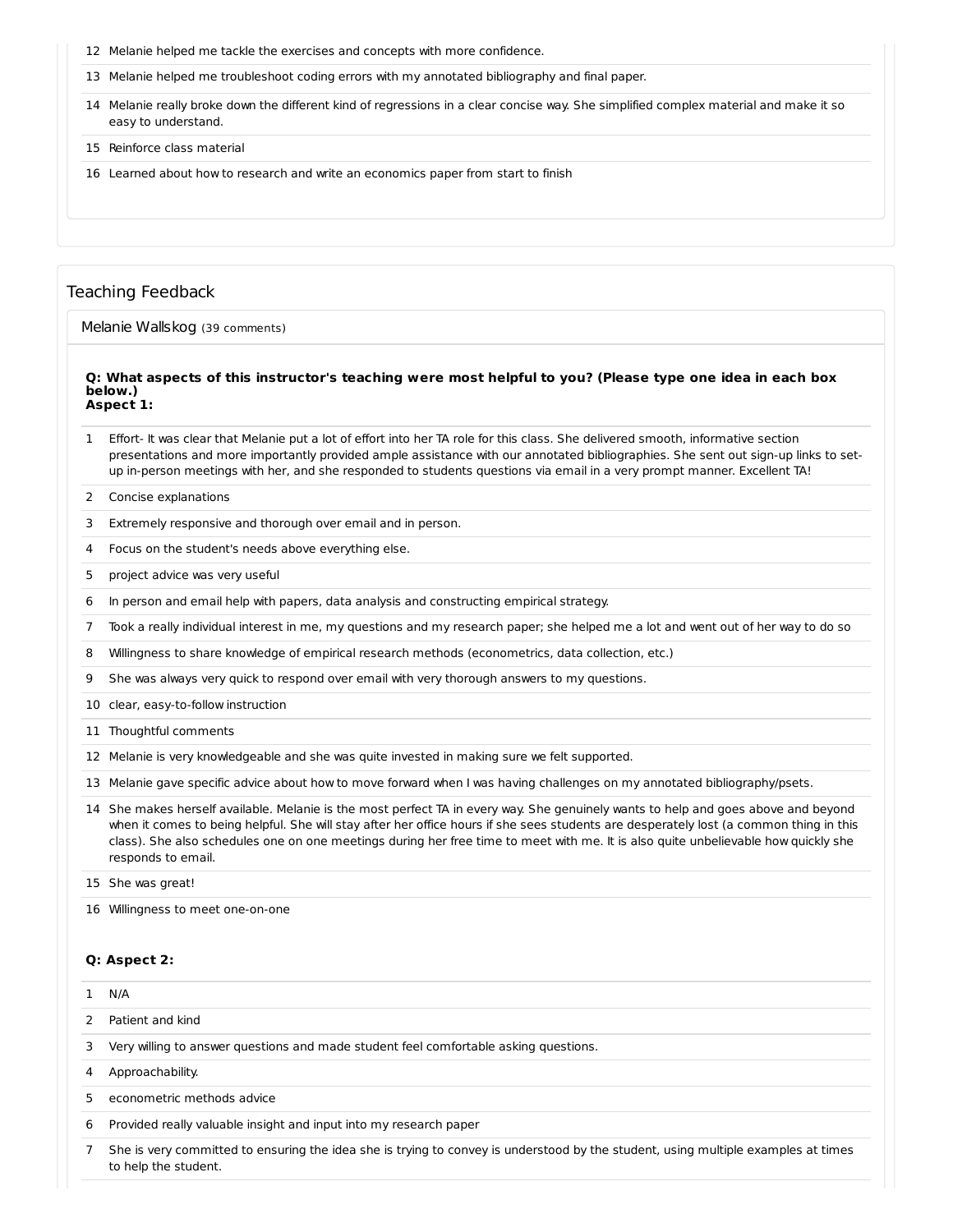- Melanie helped me tackle the exercises and concepts with more confidence.
- Melanie helped me troubleshoot coding errors with my annotated bibliography and final paper.
- Melanie really broke down the different kind of regressions in a clear concise way. She simplified complex material and make it so easy to understand.
- Reinforce class material
- Learned about how to research and write an economics paper from start to finish

### Teaching Feedback

Melanie Wallskog (39 comments)

#### Q: What aspects of this instructor's teaching were most helpful to you? (Please type one idea in each box **below.) Aspect 1:**

- Effort- It was clear that Melanie put a lot of effort into her TA role for this class. She delivered smooth, informative section presentations and more importantly provided ample assistance with our annotated bibliographies. She sent out sign-up links to setup in-person meetings with her, and she responded to students questions via email in a very prompt manner. Excellent TA!
- Concise explanations
- Extremely responsive and thorough over email and in person.
- Focus on the student's needs above everything else.
- project advice was very useful
- In person and email help with papers, data analysis and constructing empirical strategy.
- Took a really individual interest in me, my questions and my research paper; she helped me a lot and went out of her way to do so
- Willingness to share knowledge of empirical research methods (econometrics, data collection, etc.)
- She was always very quick to respond over email with very thorough answers to my questions.
- clear, easy-to-follow instruction
- Thoughtful comments
- Melanie is very knowledgeable and she was quite invested in making sure we felt supported.
- Melanie gave specific advice about how to move forward when I was having challenges on my annotated bibliography/psets.
- She makes herself available. Melanie is the most perfect TA in every way. She genuinely wants to help and goes above and beyond when it comes to being helpful. She will stay after her office hours if she sees students are desperately lost (a common thing in this class). She also schedules one on one meetings during her free time to meet with me. It is also quite unbelievable how quickly she responds to email.

She was great!

Willingness to meet one-on-one

to help the student.

#### **Q: Aspect 2:**

|               | $1$ N/A                                                                                                                           |
|---------------|-----------------------------------------------------------------------------------------------------------------------------------|
| $\mathcal{P}$ | Patient and kind                                                                                                                  |
| 3             | Very willing to answer questions and made student feel comfortable asking questions.                                              |
| 4             | Approachability.                                                                                                                  |
| 5.            | econometric methods advice                                                                                                        |
| 6             | Provided really valuable insight and input into my research paper                                                                 |
|               | She is very committed to ensuring the idea she is trying to convey is understood by the student, using multiple examples at times |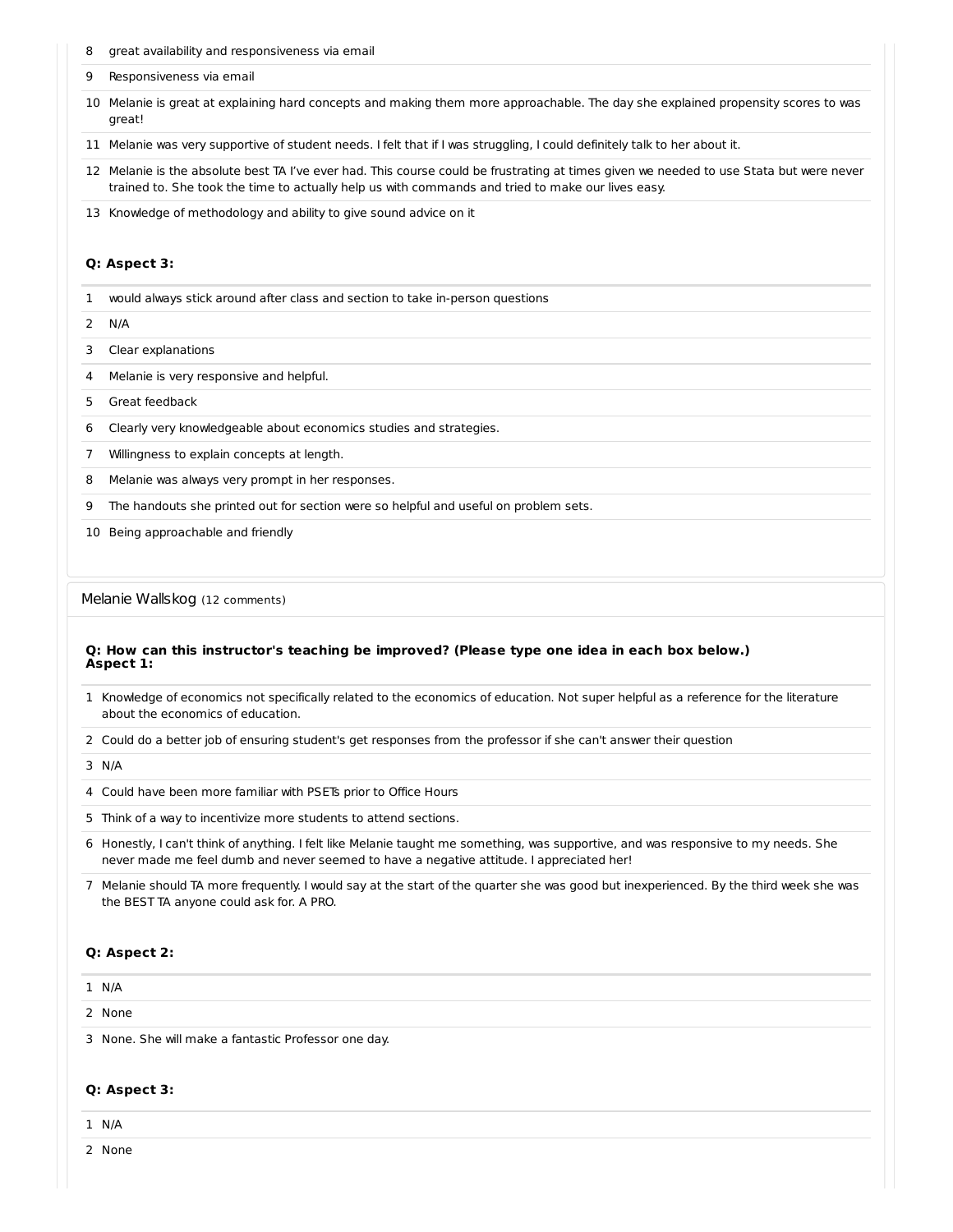- great availability and responsiveness via email
- Responsiveness via email
- Melanie is great at explaining hard concepts and making them more approachable. The day she explained propensity scores to was great!
- Melanie was very supportive of student needs. I felt that if I was struggling, I could definitely talk to her about it.
- Melanie is the absolute best TA I've ever had. This course could be frustrating at times given we needed to use Stata but were never trained to. She took the time to actually help us with commands and tried to make our lives easy.
- Knowledge of methodology and ability to give sound advice on it

### **Q: Aspect 3:**

- would always stick around after class and section to take in-person questions
- N/A
- Clear explanations
- Melanie is very responsive and helpful.
- Great feedback
- Clearly very knowledgeable about economics studies and strategies.
- Willingness to explain concepts at length.
- Melanie was always very prompt in her responses.
- The handouts she printed out for section were so helpful and useful on problem sets.
- Being approachable and friendly

#### Melanie Wallskog (12 comments)

#### **Q: How can this instructor's teaching be improved? (Please type one idea in each box below.) Aspect 1:**

- Knowledge of economics not specifically related to the economics of education. Not super helpful as a reference for the literature about the economics of education.
- Could do a better job of ensuring student's get responses from the professor if she can't answer their question

#### N/A

- Could have been more familiar with PSETs prior to Office Hours
- Think of a way to incentivize more students to attend sections.
- Honestly, I can't think of anything. I felt like Melanie taught me something, was supportive, and was responsive to my needs. She never made me feel dumb and never seemed to have a negative attitude. I appreciated her!
- Melanie should TA more frequently. I would say at the start of the quarter she was good but inexperienced. By the third week she was the BEST TA anyone could ask for. A PRO.

#### **Q: Aspect 2:**

#### N/A

None

None. She will make a fantastic Professor one day.

#### **Q: Aspect 3:**

- N/A
- None